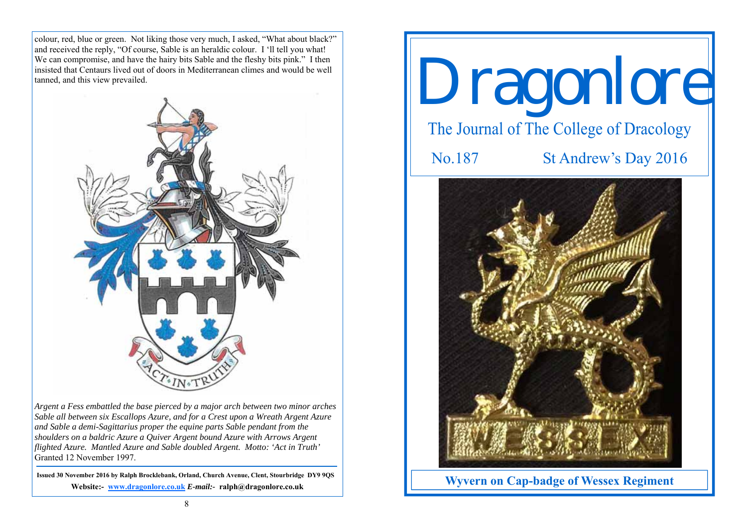colour, red, blue or green. Not liking those very much, I asked, "What about black?" and received the reply, "Of course, Sable is an heraldic colour. I 'll tell you what! We can compromise, and have the hairy bits Sable and the fleshy bits pink." I then insisted that Centaurs lived out of doors in Mediterranean climes and would be well tanned, and this view prevailed.



*Argent a Fess embattled the base pierced by a major arch between two minor arches Sable all between six Escallops Azure, and for a Crest upon a Wreath Argent Azure and Sable a demi-Sagittarius proper the equine parts Sable pendant from the shoulders on a baldric Azure a Quiver Argent bound Azure with Arrows Argent flighted Azure. Mantled Azure and Sable doubled Argent. Motto: 'Act in Truth'*  Granted 12 November 1997.

**Issued 30 November 2016 by Ralph Brocklebank, Orland, Church Avenue, Clent, Stourbridge DY9 9QS Website:- www.dragonlore.co.uk** *E-mail:-* **ralph@dragonlore.co.uk**

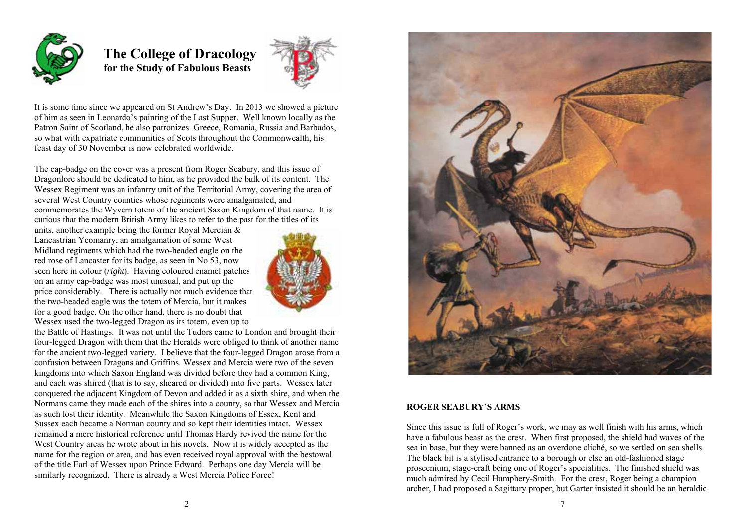

## **The College of Dracology for the Study of Fabulous Beasts**



It is some time since we appeared on St Andrew's Day. In 2013 we showed a picture of him as seen in Leonardo's painting of the Last Supper. Well known locally as the Patron Saint of Scotland, he also patronizes Greece, Romania, Russia and Barbados, so what with expatriate communities of Scots throughout the Commonwealth, his feast day of 30 November is now celebrated worldwide.

The cap-badge on the cover was a present from Roger Seabury, and this issue of Dragonlore should be dedicated to him, as he provided the bulk of its content. The Wessex Regiment was an infantry unit of the Territorial Army, covering the area of several West Country counties whose regiments were amalgamated, and commemorates the Wyvern totem of the ancient Saxon Kingdom of that name. It is curious that the modern British Army likes to refer to the past for the titles of its

units, another example being the former Royal Mercian & Lancastrian Yeomanry, an amalgamation of some West Midland regiments which had the two-headed eagle on the red rose of Lancaster for its badge, as seen in No 53, now seen here in colour (*right*). Having coloured enamel patches on an army cap-badge was most unusual, and put up the price considerably. There is actually not much evidence that the two-headed eagle was the totem of Mercia, but it makes for a good badge. On the other hand, there is no doubt that Wessex used the two-legged Dragon as its totem, even up to



the Battle of Hastings. It was not until the Tudors came to London and brought their four-legged Dragon with them that the Heralds were obliged to think of another name for the ancient two-legged variety. I believe that the four-legged Dragon arose from a confusion between Dragons and Griffins. Wessex and Mercia were two of the seven kingdoms into which Saxon England was divided before they had a common King, and each was shired (that is to say, sheared or divided) into five parts. Wessex later conquered the adjacent Kingdom of Devon and added it as a sixth shire, and when the Normans came they made each of the shires into a county, so that Wessex and Mercia as such lost their identity. Meanwhile the Saxon Kingdoms of Essex, Kent and Sussex each became a Norman county and so kept their identities intact. Wessex remained a mere historical reference until Thomas Hardy revived the name for the West Country areas he wrote about in his novels. Now it is widely accepted as the name for the region or area, and has even received royal approval with the bestowal of the title Earl of Wessex upon Prince Edward. Perhaps one day Mercia will be similarly recognized. There is already a West Mercia Police Force!



## **ROGER SEABURY'S ARMS**

Since this issue is full of Roger's work, we may as well finish with his arms, which have a fabulous beast as the crest. When first proposed, the shield had waves of the sea in base, but they were banned as an overdone cliché, so we settled on sea shells. The black bit is a stylised entrance to a borough or else an old-fashioned stage proscenium, stage-craft being one of Roger's specialities. The finished shield was much admired by Cecil Humphery-Smith. For the crest, Roger being a champion archer, I had proposed a Sagittary proper, but Garter insisted it should be an heraldic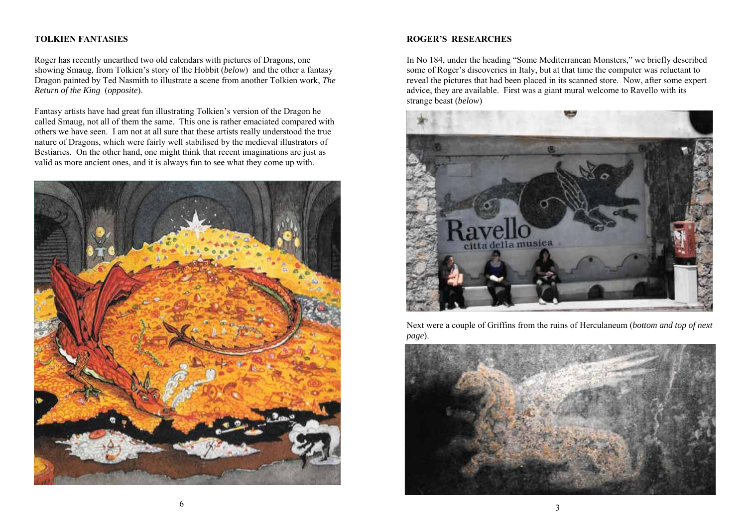## **TOLKIEN FANTASIES**

Roger has recently unearthed two old calendars with pictures of Dragons, one showing Smaug, from Tolkien's story of the Hobbit (*below*) and the other a fantasy Dragon painted by Ted Nasmith to illustrate a scene from another Tolkien work, *The Return of the King* (*opposite*).

Fantasy artists have had great fun illustrating Tolkien's version of the Dragon he called Smaug, not all of them the same. This one is rather emaciated compared with others we have seen. I am not at all sure that these artists really understood the true nature of Dragons, which were fairly well stabilised by the medieval illustrators of Bestiaries. On the other hand, one might think that recent imaginations are just as valid as more ancient ones, and it is always fun to see what they come up with.



## **ROGER'S RESEARCHES**

In No 184, under the heading "Some Mediterranean Monsters," we briefly described some of Roger's discoveries in Italy, but at that time the computer was reluctant to reveal the pictures that had been placed in its scanned store. Now, after some expert advice, they are available. First was a giant mural welcome to Ravello with its strange beast (*below*)



Next were a couple of Griffins from the ruins of Herculaneum (*bottom and top of next page*).